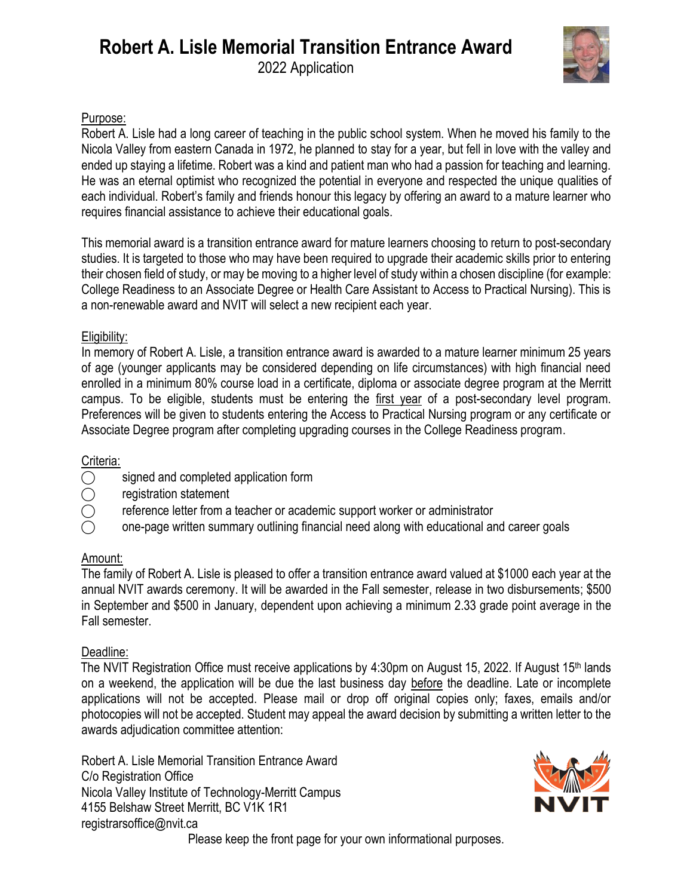

#### Purpose:

Robert A. Lisle had a long career of teaching in the public school system. When he moved his family to the Nicola Valley from eastern Canada in 1972, he planned to stay for a year, but fell in love with the valley and ended up staying a lifetime. Robert was a kind and patient man who had a passion for teaching and learning. He was an eternal optimist who recognized the potential in everyone and respected the unique qualities of each individual. Robert's family and friends honour this legacy by offering an award to a mature learner who requires financial assistance to achieve their educational goals.

This memorial award is a transition entrance award for mature learners choosing to return to post-secondary studies. It is targeted to those who may have been required to upgrade their academic skills prior to entering their chosen field of study, or may be moving to a higher level of study within a chosen discipline (for example: College Readiness to an Associate Degree or Health Care Assistant to Access to Practical Nursing). This is a non-renewable award and NVIT will select a new recipient each year.

#### Eligibility:

In memory of Robert A. Lisle, a transition entrance award is awarded to a mature learner minimum 25 years of age (younger applicants may be considered depending on life circumstances) with high financial need enrolled in a minimum 80% course load in a certificate, diploma or associate degree program at the Merritt campus. To be eligible, students must be entering the first year of a post-secondary level program. Preferences will be given to students entering the Access to Practical Nursing program or any certificate or Associate Degree program after completing upgrading courses in the College Readiness program.

### Criteria:

- $\bigcirc$  signed and completed application form
- ⃝ registration statement
- ⃝ reference letter from a teacher or academic support worker or administrator
	- ⃝ one-page written summary outlining financial need along with educational and career goals

#### Amount:

The family of Robert A. Lisle is pleased to offer a transition entrance award valued at \$1000 each year at the annual NVIT awards ceremony. It will be awarded in the Fall semester, release in two disbursements; \$500 in September and \$500 in January, dependent upon achieving a minimum 2.33 grade point average in the Fall semester.

### Deadline:

The NVIT Registration Office must receive applications by 4:30pm on August 15, 2022. If August 15<sup>th</sup> lands on a weekend, the application will be due the last business day before the deadline. Late or incomplete applications will not be accepted. Please mail or drop off original copies only; faxes, emails and/or photocopies will not be accepted. Student may appeal the award decision by submitting a written letter to the awards adjudication committee attention:

Robert A. Lisle Memorial Transition Entrance Award C/o Registration Office Nicola Valley Institute of Technology-Merritt Campus 4155 Belshaw Street Merritt, BC V1K 1R1 registrarsoffice@nvit.ca



Please keep the front page for your own informational purposes.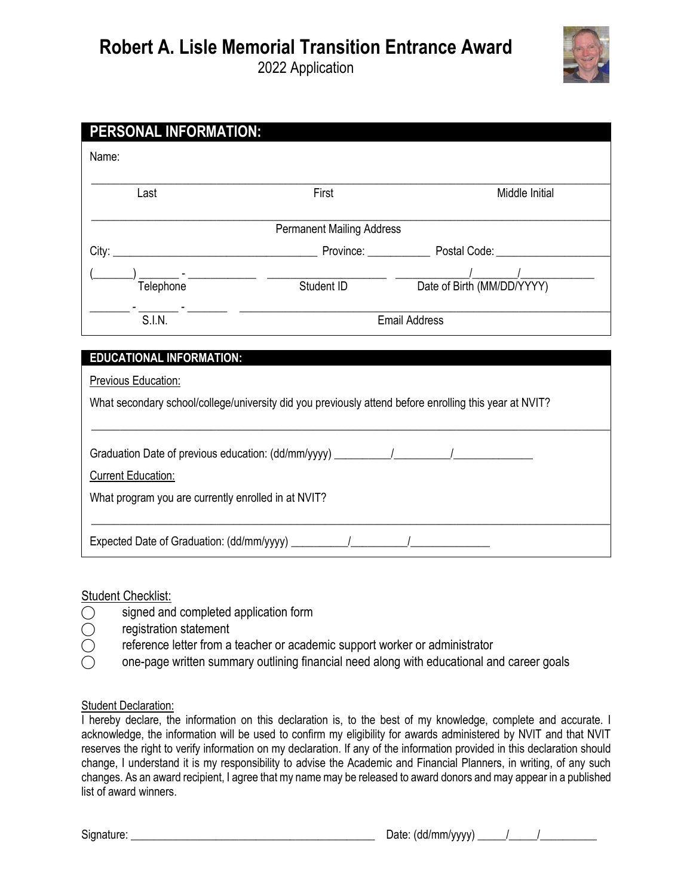## **Robert A. Lisle Memorial Transition Entrance Award** 2022 Application



| PERSONAL INFORMATION:                                                                                  |                                                                      |                |
|--------------------------------------------------------------------------------------------------------|----------------------------------------------------------------------|----------------|
| Name:                                                                                                  |                                                                      |                |
| Last                                                                                                   | First                                                                | Middle Initial |
| <b>Permanent Mailing Address</b>                                                                       |                                                                      |                |
|                                                                                                        |                                                                      |                |
|                                                                                                        |                                                                      |                |
|                                                                                                        | $\frac{1}{\text{S.I.N.}}$ $\frac{1}{\text{S.I.N.}}$<br>Email Address |                |
|                                                                                                        |                                                                      |                |
| <b>EDUCATIONAL INFORMATION:</b>                                                                        |                                                                      |                |
| <b>Previous Education:</b>                                                                             |                                                                      |                |
| What secondary school/college/university did you previously attend before enrolling this year at NVIT? |                                                                      |                |
|                                                                                                        |                                                                      |                |
| <b>Current Education:</b>                                                                              |                                                                      |                |
| What program you are currently enrolled in at NVIT?                                                    |                                                                      |                |
| Expected Date of Graduation: (dd/mm/yyyy) ___________/ __________/                                     |                                                                      |                |

#### Student Checklist:

- ◯ signed and completed application form<br>◯ registration statement
- 
- ◯ registration statement<br>◯ reference letter from a reference letter from a teacher or academic support worker or administrator
- $\bigcirc$  one-page written summary outlining financial need along with educational and career goals

#### **Student Declaration:**

I hereby declare, the information on this declaration is, to the best of my knowledge, complete and accurate. I acknowledge, the information will be used to confirm my eligibility for awards administered by NVIT and that NVIT reserves the right to verify information on my declaration. If any of the information provided in this declaration should change, I understand it is my responsibility to advise the Academic and Financial Planners, in writing, of any such changes. As an award recipient, I agree that my name may be released to award donors and may appear in a published list of award winners.

Signature:  $\Box$